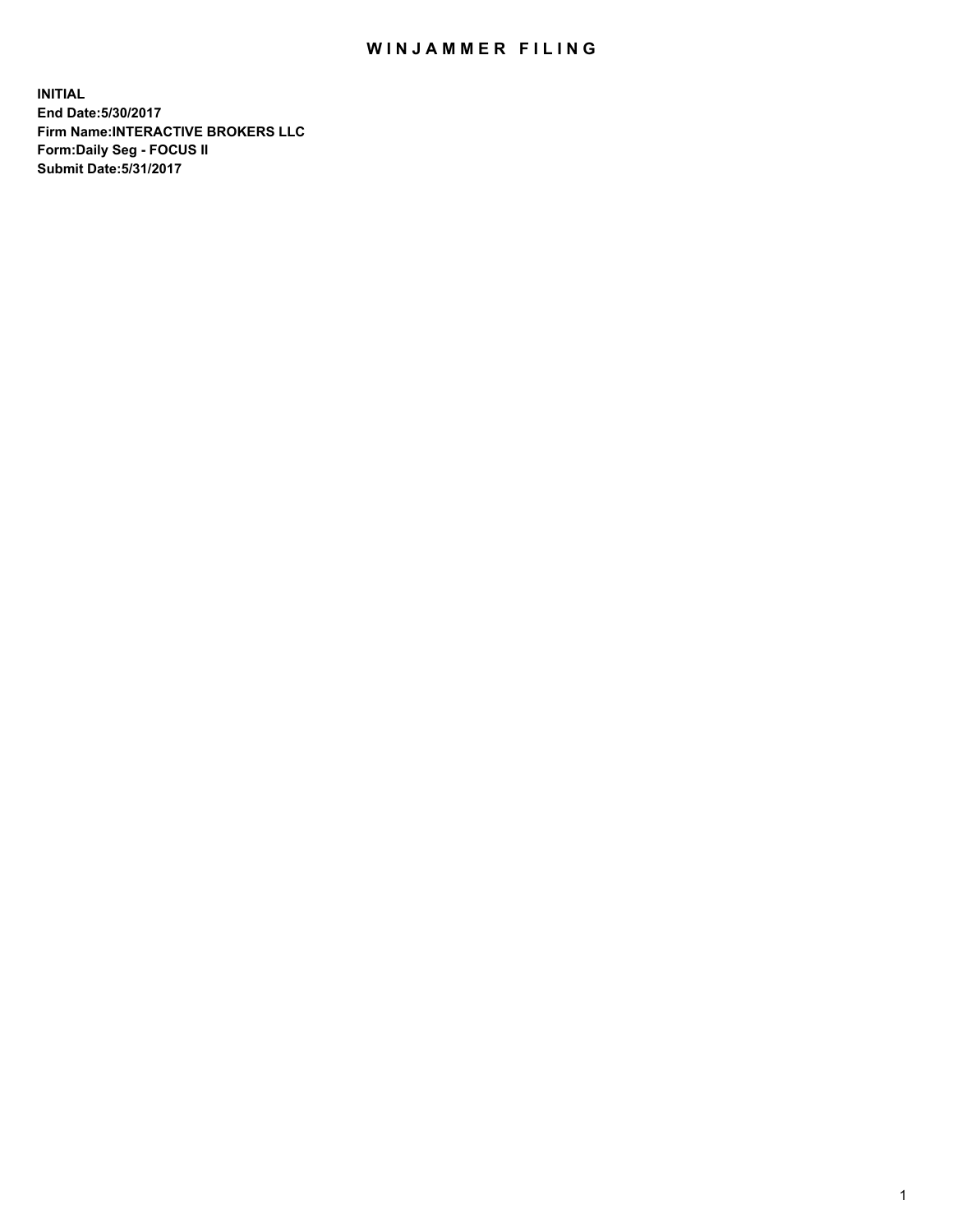## WIN JAMMER FILING

**INITIAL End Date:5/30/2017 Firm Name:INTERACTIVE BROKERS LLC Form:Daily Seg - FOCUS II Submit Date:5/31/2017**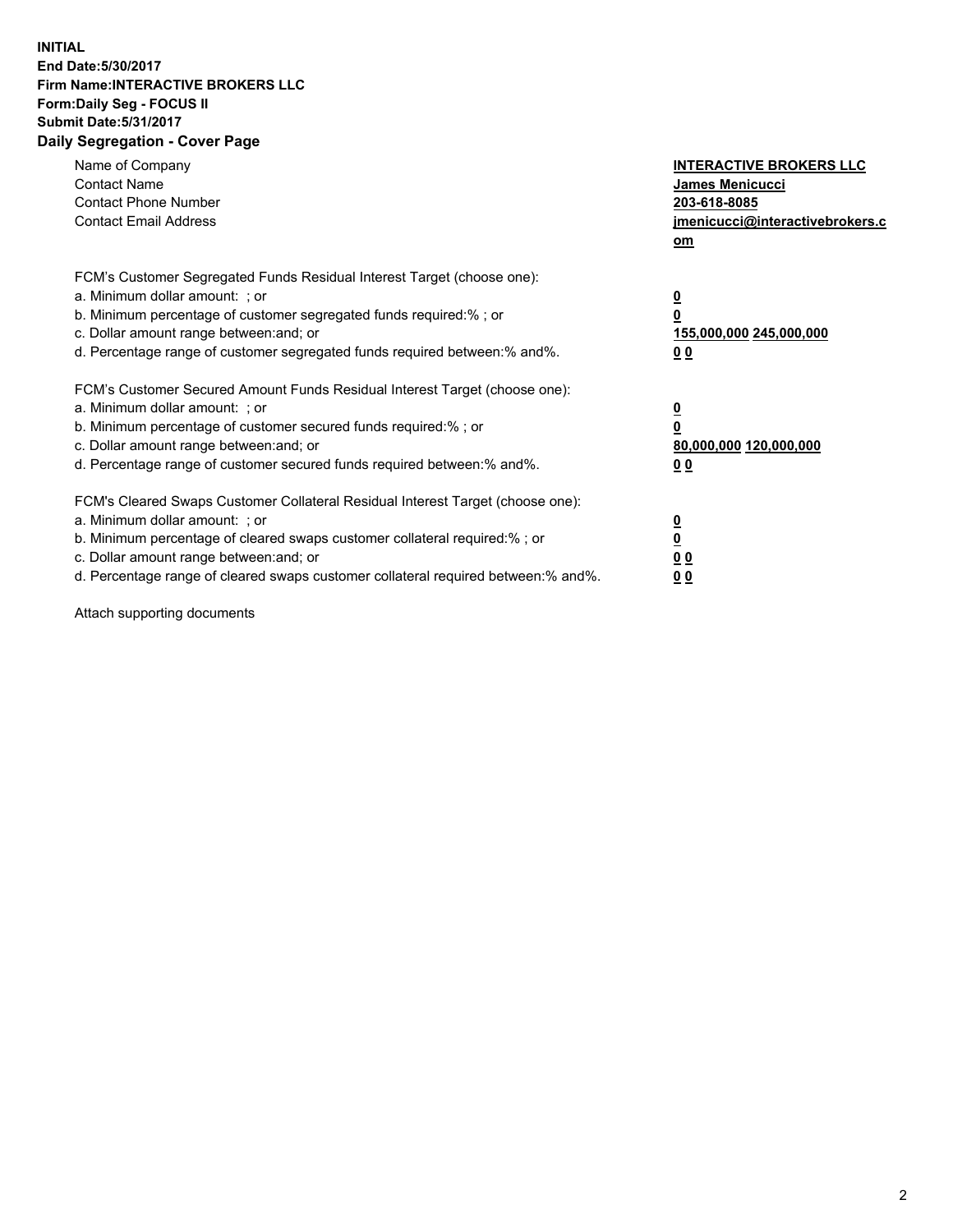## **INITIAL End Date:5/30/2017 Firm Name:INTERACTIVE BROKERS LLC Form:Daily Seg - FOCUS II Submit Date:5/31/2017 Daily Segregation - Cover Page**

| Name of Company<br><b>Contact Name</b><br><b>Contact Phone Number</b><br><b>Contact Email Address</b>                                                                                                                                                                                                                          | <b>INTERACTIVE BROKERS LLC</b><br>James Menicucci<br>203-618-8085<br>jmenicucci@interactivebrokers.c<br>om |
|--------------------------------------------------------------------------------------------------------------------------------------------------------------------------------------------------------------------------------------------------------------------------------------------------------------------------------|------------------------------------------------------------------------------------------------------------|
| FCM's Customer Segregated Funds Residual Interest Target (choose one):<br>a. Minimum dollar amount: ; or<br>b. Minimum percentage of customer segregated funds required:%; or<br>c. Dollar amount range between: and; or<br>d. Percentage range of customer segregated funds required between:% and%.                          | $\overline{\mathbf{0}}$<br>0<br>155,000,000 245,000,000<br>0 <sub>0</sub>                                  |
| FCM's Customer Secured Amount Funds Residual Interest Target (choose one):<br>a. Minimum dollar amount: ; or<br>b. Minimum percentage of customer secured funds required:%; or<br>c. Dollar amount range between: and; or<br>d. Percentage range of customer secured funds required between:% and%.                            | $\overline{\mathbf{0}}$<br>$\overline{\mathbf{0}}$<br>80,000,000 120,000,000<br>00                         |
| FCM's Cleared Swaps Customer Collateral Residual Interest Target (choose one):<br>a. Minimum dollar amount: ; or<br>b. Minimum percentage of cleared swaps customer collateral required:% ; or<br>c. Dollar amount range between: and; or<br>d. Percentage range of cleared swaps customer collateral required between:% and%. | $\overline{\mathbf{0}}$<br>$\overline{\mathbf{0}}$<br>0 <sub>0</sub><br><u>00</u>                          |

Attach supporting documents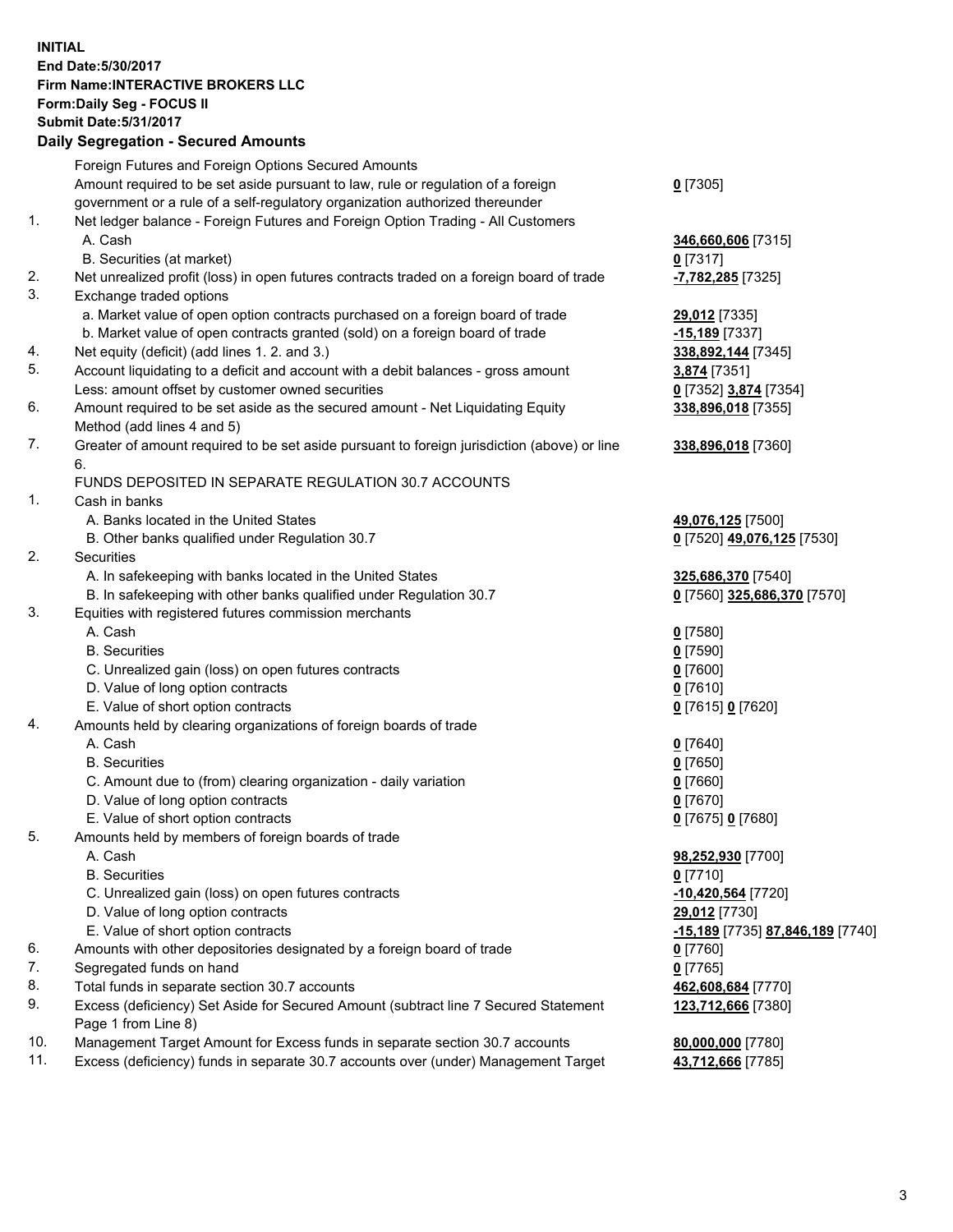## **INITIAL End Date:5/30/2017 Firm Name:INTERACTIVE BROKERS LLC Form:Daily Seg - FOCUS II Submit Date:5/31/2017**

|     | <b>Daily Segregation - Secured Amounts</b>                                                  |                                  |
|-----|---------------------------------------------------------------------------------------------|----------------------------------|
|     | Foreign Futures and Foreign Options Secured Amounts                                         |                                  |
|     | Amount required to be set aside pursuant to law, rule or regulation of a foreign            | $0$ [7305]                       |
|     | government or a rule of a self-regulatory organization authorized thereunder                |                                  |
| 1.  | Net ledger balance - Foreign Futures and Foreign Option Trading - All Customers             |                                  |
|     | A. Cash                                                                                     | 346,660,606 [7315]               |
|     | B. Securities (at market)                                                                   | $0$ [7317]                       |
| 2.  | Net unrealized profit (loss) in open futures contracts traded on a foreign board of trade   | <mark>-7,782,285</mark> [7325]   |
| 3.  | Exchange traded options                                                                     |                                  |
|     | a. Market value of open option contracts purchased on a foreign board of trade              | 29,012 [7335]                    |
|     | b. Market value of open contracts granted (sold) on a foreign board of trade                | -15,189 [7337]                   |
| 4.  | Net equity (deficit) (add lines 1.2. and 3.)                                                | 338,892,144 [7345]               |
| 5.  | Account liquidating to a deficit and account with a debit balances - gross amount           | 3,874 [7351]                     |
|     | Less: amount offset by customer owned securities                                            | 0 [7352] 3,874 [7354]            |
| 6.  | Amount required to be set aside as the secured amount - Net Liquidating Equity              | 338,896,018 [7355]               |
|     | Method (add lines 4 and 5)                                                                  |                                  |
| 7.  | Greater of amount required to be set aside pursuant to foreign jurisdiction (above) or line | 338,896,018 [7360]               |
|     | 6.                                                                                          |                                  |
|     | FUNDS DEPOSITED IN SEPARATE REGULATION 30.7 ACCOUNTS                                        |                                  |
| 1.  | Cash in banks                                                                               |                                  |
|     | A. Banks located in the United States                                                       | 49,076,125 [7500]                |
|     | B. Other banks qualified under Regulation 30.7                                              | 0 [7520] 49,076,125 [7530]       |
| 2.  | Securities                                                                                  |                                  |
|     | A. In safekeeping with banks located in the United States                                   | 325,686,370 [7540]               |
|     | B. In safekeeping with other banks qualified under Regulation 30.7                          | 0 [7560] 325,686,370 [7570]      |
| 3.  | Equities with registered futures commission merchants                                       |                                  |
|     | A. Cash                                                                                     | $0$ [7580]                       |
|     | <b>B.</b> Securities                                                                        | <u>0</u> [7590]                  |
|     | C. Unrealized gain (loss) on open futures contracts                                         | 0 [7600]                         |
|     | D. Value of long option contracts                                                           | $0$ [7610]                       |
|     | E. Value of short option contracts                                                          | 0 [7615] 0 [7620]                |
| 4.  | Amounts held by clearing organizations of foreign boards of trade                           |                                  |
|     | A. Cash                                                                                     | $0$ [7640]                       |
|     | <b>B.</b> Securities                                                                        | $0$ [7650]                       |
|     | C. Amount due to (from) clearing organization - daily variation                             | 0 [7660]                         |
|     | D. Value of long option contracts                                                           | $0$ [7670]                       |
|     | E. Value of short option contracts                                                          | 0 [7675] 0 [7680]                |
| 5.  | Amounts held by members of foreign boards of trade                                          |                                  |
|     | A. Cash                                                                                     | 98,252,930 [7700]                |
|     | <b>B.</b> Securities                                                                        | 0 [7710]                         |
|     | C. Unrealized gain (loss) on open futures contracts                                         | -10,420,564 [7720]               |
|     | D. Value of long option contracts                                                           | 29,012 [7730]                    |
|     | E. Value of short option contracts                                                          | -15,189 [7735] 87,846,189 [7740] |
| 6.  | Amounts with other depositories designated by a foreign board of trade                      | $0$ [7760]                       |
| 7.  | Segregated funds on hand                                                                    | $0$ [7765]                       |
| 8.  | Total funds in separate section 30.7 accounts                                               | 462,608,684 [7770]               |
| 9.  | Excess (deficiency) Set Aside for Secured Amount (subtract line 7 Secured Statement         | 123,712,666 [7380]               |
|     | Page 1 from Line 8)                                                                         |                                  |
| 10. | Management Target Amount for Excess funds in separate section 30.7 accounts                 | 80,000,000 [7780]                |
| 11. | Excess (deficiency) funds in separate 30.7 accounts over (under) Management Target          | 43,712,666 [7785]                |
|     |                                                                                             |                                  |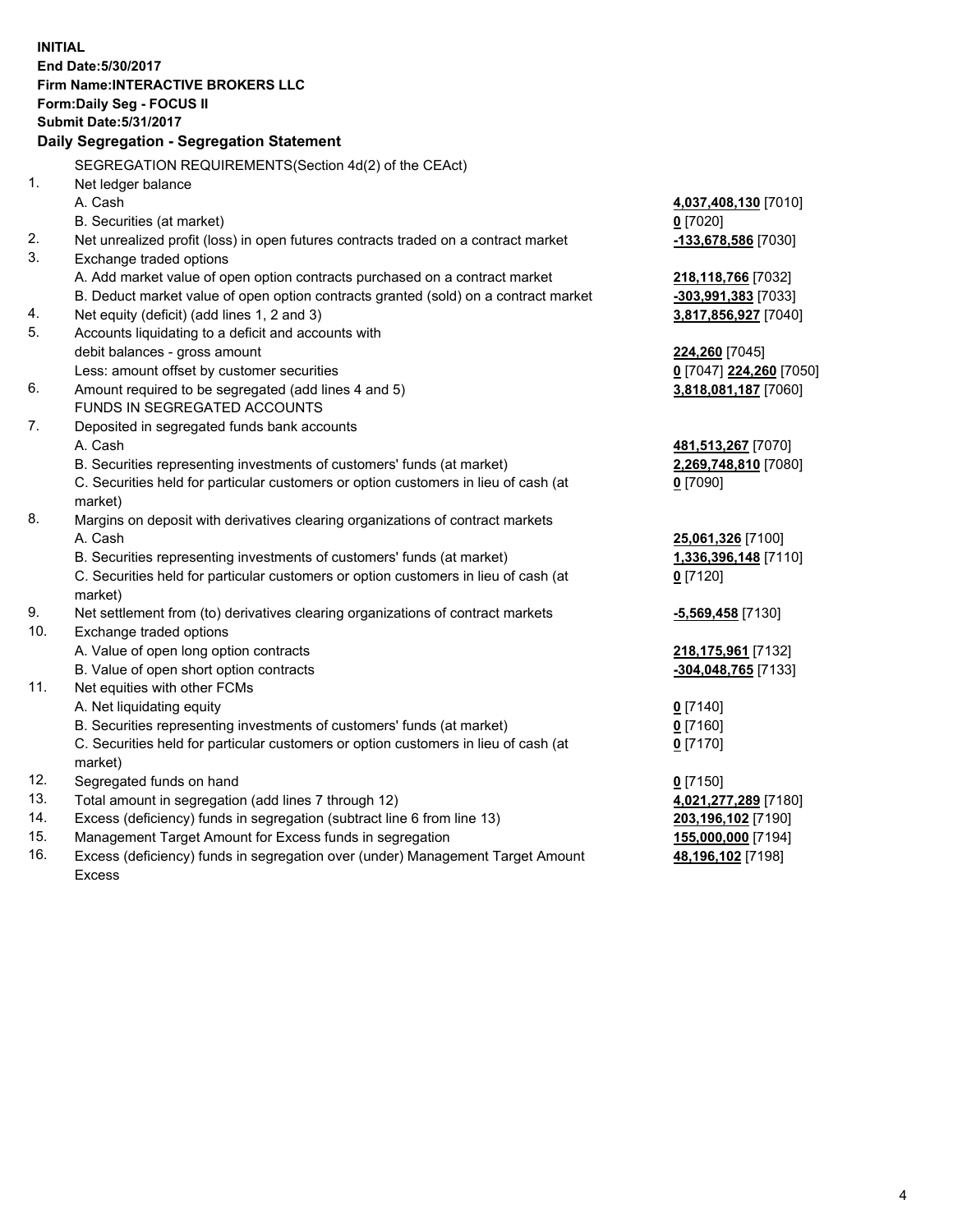**INITIAL End Date:5/30/2017 Firm Name:INTERACTIVE BROKERS LLC Form:Daily Seg - FOCUS II Submit Date:5/31/2017 Daily Segregation - Segregation Statement** SEGREGATION REQUIREMENTS(Section 4d(2) of the CEAct) 1. Net ledger balance A. Cash **4,037,408,130** [7010] B. Securities (at market) **0** [7020] 2. Net unrealized profit (loss) in open futures contracts traded on a contract market **-133,678,586** [7030] 3. Exchange traded options A. Add market value of open option contracts purchased on a contract market **218,118,766** [7032] B. Deduct market value of open option contracts granted (sold) on a contract market **-303,991,383** [7033] 4. Net equity (deficit) (add lines 1, 2 and 3) **3,817,856,927** [7040] 5. Accounts liquidating to a deficit and accounts with debit balances - gross amount **224,260** [7045] Less: amount offset by customer securities **0** [7047] **224,260** [7050] 6. Amount required to be segregated (add lines 4 and 5) **3,818,081,187** [7060] FUNDS IN SEGREGATED ACCOUNTS 7. Deposited in segregated funds bank accounts A. Cash **481,513,267** [7070] B. Securities representing investments of customers' funds (at market) **2,269,748,810** [7080] C. Securities held for particular customers or option customers in lieu of cash (at market) **0** [7090] 8. Margins on deposit with derivatives clearing organizations of contract markets A. Cash **25,061,326** [7100] B. Securities representing investments of customers' funds (at market) **1,336,396,148** [7110] C. Securities held for particular customers or option customers in lieu of cash (at market) **0** [7120] 9. Net settlement from (to) derivatives clearing organizations of contract markets **-5,569,458** [7130] 10. Exchange traded options A. Value of open long option contracts **218,175,961** [7132] B. Value of open short option contracts **-304,048,765** [7133] 11. Net equities with other FCMs A. Net liquidating equity **0** [7140] B. Securities representing investments of customers' funds (at market) **0** [7160] C. Securities held for particular customers or option customers in lieu of cash (at market) **0** [7170] 12. Segregated funds on hand **0** [7150] 13. Total amount in segregation (add lines 7 through 12) **4,021,277,289** [7180] 14. Excess (deficiency) funds in segregation (subtract line 6 from line 13) **203,196,102** [7190] 15. Management Target Amount for Excess funds in segregation **155,000,000** [7194] **48,196,102** [7198]

16. Excess (deficiency) funds in segregation over (under) Management Target Amount Excess